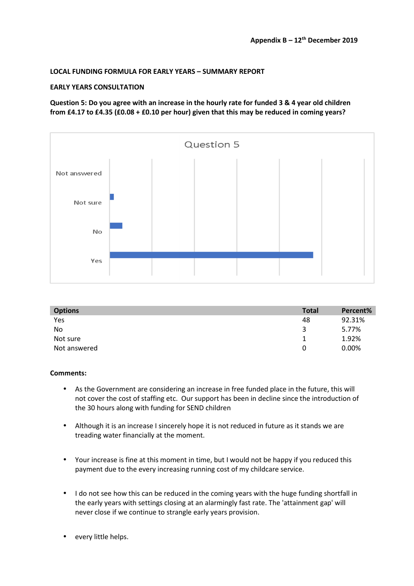### **LOCAL FUNDING FORMULA FOR EARLY YEARS – SUMMARY REPORT**

### **EARLY YEARS CONSULTATION**

**Question 5: Do you agree with an increase in the hourly rate for funded 3 & 4 year old children from £4.17 to £4.35 (£0.08 + £0.10 per hour) given that this may be reduced in coming years?** 



| <b>Options</b> | <b>Total</b> | Percent% |
|----------------|--------------|----------|
| Yes            | 48           | 92.31%   |
| <b>No</b>      | 3            | 5.77%    |
| Not sure       |              | 1.92%    |
| Not answered   | 0            | 0.00%    |

- As the Government are considering an increase in free funded place in the future, this will not cover the cost of staffing etc. Our support has been in decline since the introduction of the 30 hours along with funding for SEND children
- Although it is an increase I sincerely hope it is not reduced in future as it stands we are treading water financially at the moment.
- Your increase is fine at this moment in time, but I would not be happy if you reduced this payment due to the every increasing running cost of my childcare service.
- I do not see how this can be reduced in the coming years with the huge funding shortfall in the early years with settings closing at an alarmingly fast rate. The 'attainment gap' will never close if we continue to strangle early years provision.
- every little helps.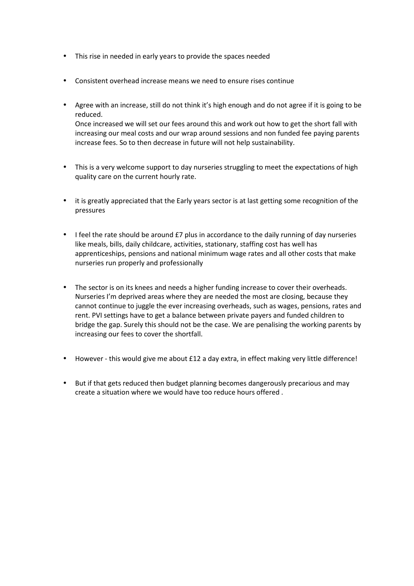- This rise in needed in early years to provide the spaces needed
- Consistent overhead increase means we need to ensure rises continue
- Agree with an increase, still do not think it's high enough and do not agree if it is going to be reduced. Once increased we will set our fees around this and work out how to get the short fall with increasing our meal costs and our wrap around sessions and non funded fee paying parents increase fees. So to then decrease in future will not help sustainability.
- This is a very welcome support to day nurseries struggling to meet the expectations of high quality care on the current hourly rate.
- it is greatly appreciated that the Early years sector is at last getting some recognition of the pressures
- I feel the rate should be around £7 plus in accordance to the daily running of day nurseries like meals, bills, daily childcare, activities, stationary, staffing cost has well has apprenticeships, pensions and national minimum wage rates and all other costs that make nurseries run properly and professionally
- The sector is on its knees and needs a higher funding increase to cover their overheads. Nurseries I'm deprived areas where they are needed the most are closing, because they cannot continue to juggle the ever increasing overheads, such as wages, pensions, rates and rent. PVI settings have to get a balance between private payers and funded children to bridge the gap. Surely this should not be the case. We are penalising the working parents by increasing our fees to cover the shortfall.
- However this would give me about £12 a day extra, in effect making very little difference!
- But if that gets reduced then budget planning becomes dangerously precarious and may create a situation where we would have too reduce hours offered .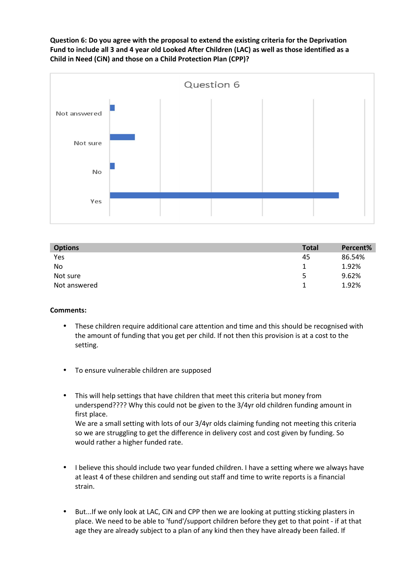**Question 6: Do you agree with the proposal to extend the existing criteria for the Deprivation Fund to include all 3 and 4 year old Looked After Children (LAC) as well as those identified as a Child in Need (CiN) and those on a Child Protection Plan (CPP)?** 



| <b>Total</b> | Percent% |
|--------------|----------|
| 45           | 86.54%   |
|              | 1.92%    |
| 5            | 9.62%    |
|              | 1.92%    |
|              |          |

- These children require additional care attention and time and this should be recognised with the amount of funding that you get per child. If not then this provision is at a cost to the setting.
- To ensure vulnerable children are supposed
- This will help settings that have children that meet this criteria but money from underspend???? Why this could not be given to the 3/4yr old children funding amount in first place. We are a small setting with lots of our 3/4yr olds claiming funding not meeting this criteria so we are struggling to get the difference in delivery cost and cost given by funding. So would rather a higher funded rate.
- I believe this should include two year funded children. I have a setting where we always have at least 4 of these children and sending out staff and time to write reports is a financial strain.
- But...If we only look at LAC, CiN and CPP then we are looking at putting sticking plasters in place. We need to be able to 'fund'/support children before they get to that point - if at that age they are already subject to a plan of any kind then they have already been failed. If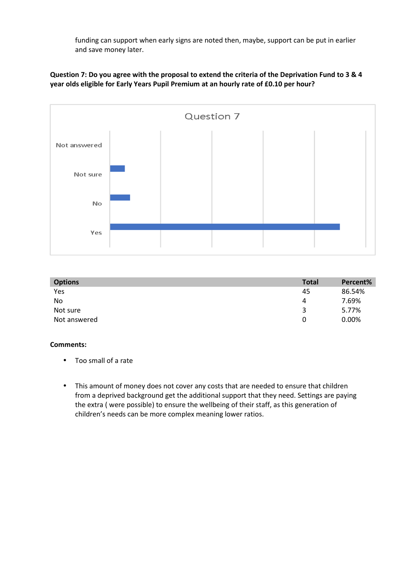funding can support when early signs are noted then, maybe, support can be put in earlier and save money later.

**Question 7: Do you agree with the proposal to extend the criteria of the Deprivation Fund to 3 & 4 year olds eligible for Early Years Pupil Premium at an hourly rate of £0.10 per hour?** 



| <b>Options</b> | <b>Total</b> | Percent% |
|----------------|--------------|----------|
| Yes            | 45           | 86.54%   |
| No             | 4            | 7.69%    |
| Not sure       | 3            | 5.77%    |
| Not answered   | 0            | 0.00%    |

- Too small of a rate
- This amount of money does not cover any costs that are needed to ensure that children from a deprived background get the additional support that they need. Settings are paying the extra ( were possible) to ensure the wellbeing of their staff, as this generation of children's needs can be more complex meaning lower ratios.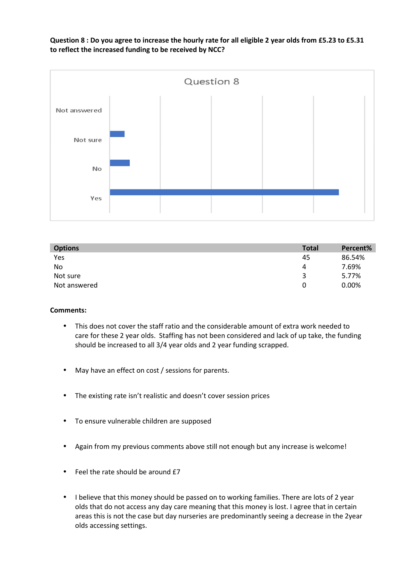**Question 8 : Do you agree to increase the hourly rate for all eligible 2 year olds from £5.23 to £5.31 to reflect the increased funding to be received by NCC?** 



| <b>Options</b> | <b>Total</b> | Percent% |
|----------------|--------------|----------|
| Yes            | 45           | 86.54%   |
| No             | 4            | 7.69%    |
| Not sure       | 3            | 5.77%    |
| Not answered   | 0            | $0.00\%$ |

- This does not cover the staff ratio and the considerable amount of extra work needed to care for these 2 year olds. Staffing has not been considered and lack of up take, the funding should be increased to all 3/4 year olds and 2 year funding scrapped.
- May have an effect on cost / sessions for parents.
- The existing rate isn't realistic and doesn't cover session prices
- To ensure vulnerable children are supposed
- Again from my previous comments above still not enough but any increase is welcome!
- Feel the rate should be around £7
- I believe that this money should be passed on to working families. There are lots of 2 year olds that do not access any day care meaning that this money is lost. I agree that in certain areas this is not the case but day nurseries are predominantly seeing a decrease in the 2year olds accessing settings.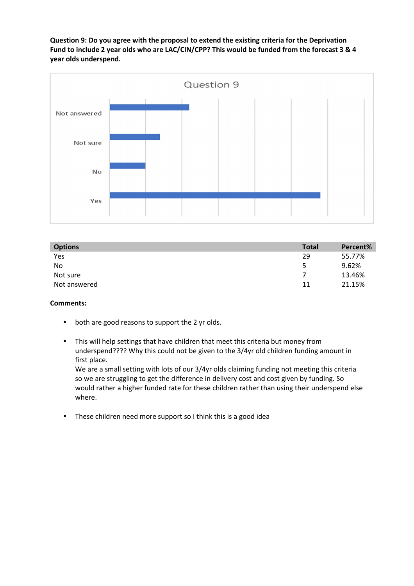**Question 9: Do you agree with the proposal to extend the existing criteria for the Deprivation Fund to include 2 year olds who are LAC/CIN/CPP? This would be funded from the forecast 3 & 4 year olds underspend.** 



| <b>Options</b> | <b>Total</b> | Percent% |
|----------------|--------------|----------|
| Yes            | 29           | 55.77%   |
| No             | 5            | 9.62%    |
| Not sure       |              | 13.46%   |
| Not answered   | 11           | 21.15%   |

### **Comments:**

- both are good reasons to support the 2 yr olds.
- This will help settings that have children that meet this criteria but money from underspend???? Why this could not be given to the 3/4yr old children funding amount in first place.

We are a small setting with lots of our 3/4yr olds claiming funding not meeting this criteria so we are struggling to get the difference in delivery cost and cost given by funding. So would rather a higher funded rate for these children rather than using their underspend else where.

• These children need more support so I think this is a good idea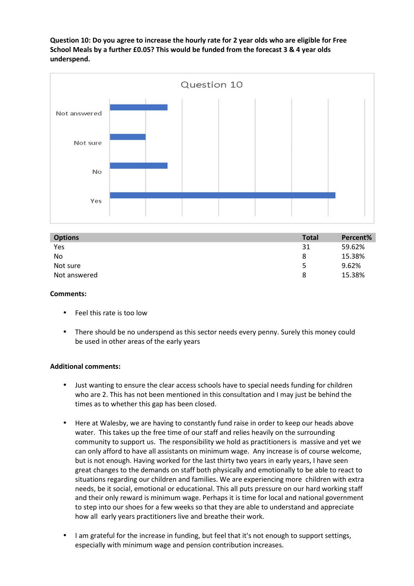**Question 10: Do you agree to increase the hourly rate for 2 year olds who are eligible for Free School Meals by a further £0.05? This would be funded from the forecast 3 & 4 year olds underspend.** 



| <b>Options</b> | <b>Total</b> | Percent% |
|----------------|--------------|----------|
| Yes            | 31           | 59.62%   |
| No             | 8            | 15.38%   |
| Not sure       | 5            | 9.62%    |
| Not answered   | 8            | 15.38%   |

## **Comments:**

- Feel this rate is too low
- There should be no underspend as this sector needs every penny. Surely this money could be used in other areas of the early years

### **Additional comments:**

- Just wanting to ensure the clear access schools have to special needs funding for children who are 2. This has not been mentioned in this consultation and I may just be behind the times as to whether this gap has been closed.
- Here at Walesby, we are having to constantly fund raise in order to keep our heads above water. This takes up the free time of our staff and relies heavily on the surrounding community to support us. The responsibility we hold as practitioners is massive and yet we can only afford to have all assistants on minimum wage. Any increase is of course welcome, but is not enough. Having worked for the last thirty two years in early years, I have seen great changes to the demands on staff both physically and emotionally to be able to react to situations regarding our children and families. We are experiencing more children with extra needs, be it social, emotional or educational. This all puts pressure on our hard working staff and their only reward is minimum wage. Perhaps it is time for local and national government to step into our shoes for a few weeks so that they are able to understand and appreciate how all early years practitioners live and breathe their work.
- I am grateful for the increase in funding, but feel that it's not enough to support settings, especially with minimum wage and pension contribution increases.